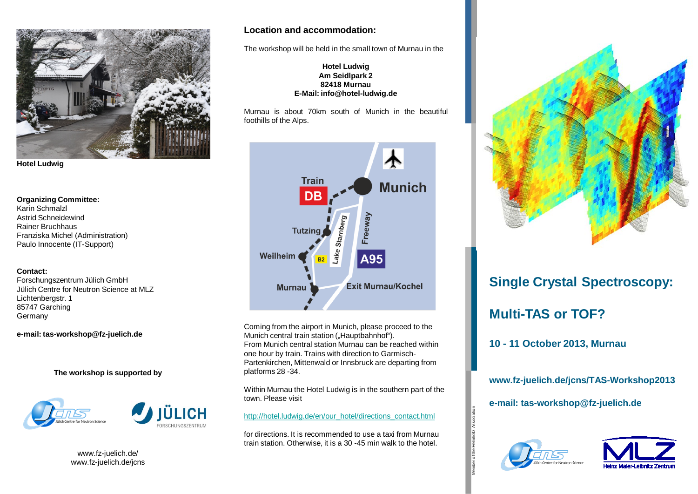



#### **Organizing Committee:**

Karin Schmalzl Astrid Schneidewind Rainer Bruchhaus Franziska Michel (Administration) Paulo Innocente (IT-Support)

#### **Contact:**

Forschungszentrum Jülich GmbH Jülich Centre for Neutron Science at MLZ Lichtenbergstr. 1 85747 Garching Germany

**e-mail: tas-workshop@fz-juelich.de**

**The workshop is supported by**



www.fz-juelich.de/ www.fz-juelich.de/jcns

### **Location and accommodation:**

The workshop will be held in the small town of Murnau in the

#### **Hotel Ludwig Am Seidlpark 2 82418 Murnau E-Mail: info@hotel-ludwig.de**

Murnau is about 70km south of Munich in the beautiful foothills of the Alps.



Coming from the airport in Munich, please proceed to the Munich central train station ("Hauptbahnhof"). From Munich central station Murnau can be reached within one hour by train. Trains with direction to Garmisch-Partenkirchen, Mittenwald or Innsbruck are departing from platforms 28 -34.

Within Murnau the Hotel Ludwig is in the southern part of the town. Please visit

#### [http://hotel.ludwig.de/en/our\\_hotel/directions\\_contact.html](http://hotel.ludwig.de/en/our_hotel/directions_contact.html)

for directions. It is recommended to use a taxi from Murnau train station. Otherwise, it is a 30 -45 min walk to the hotel.



# **Single Crystal Spectroscopy: Multi-TAS or TOF?**

**10 - 11 October 2013, Murnau**

## **www.fz-juelich.de/jcns/TAS-Workshop2013**

**e-mail: tas-workshop@fz-juelich.de**



Member of the Helmholtz Association